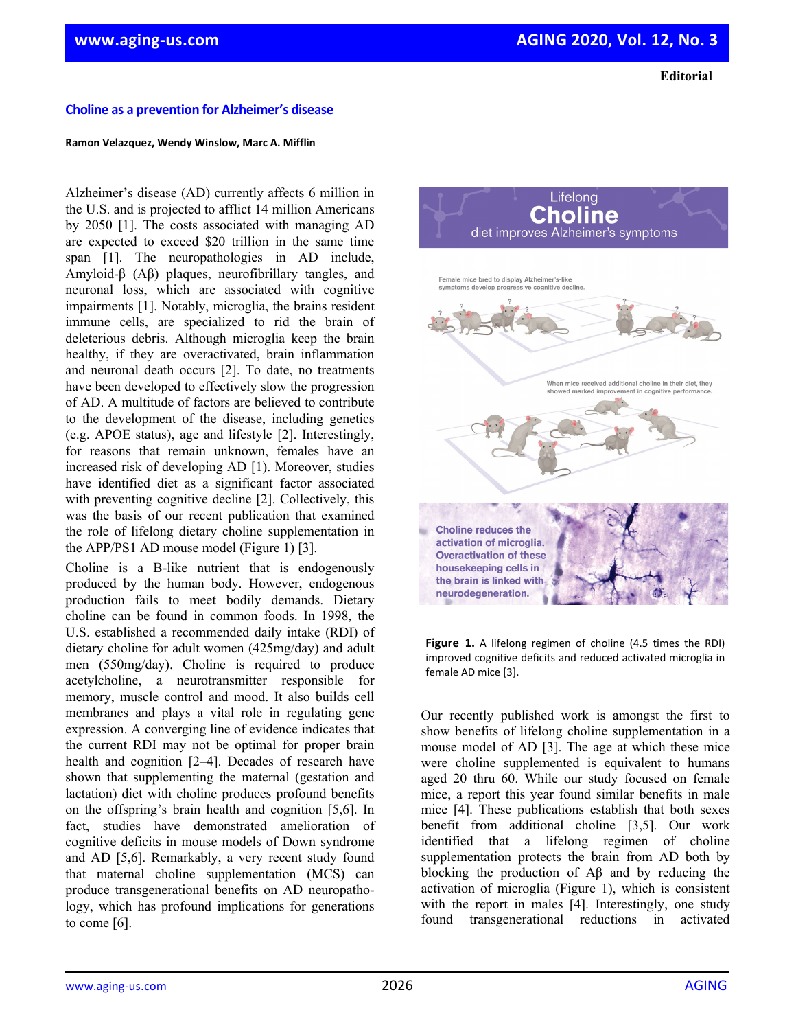**Editorial**

## **Choline as a prevention for Alzheimer's disease**

## **Ramon Velazquez, Wendy Winslow, Marc A. Mifflin**

Alzheimer's disease (AD) currently affects 6 million in the U.S. and is projected to afflict 14 million Americans by 2050 [1]. The costs associated with managing AD are expected to exceed \$20 trillion in the same time span [1]. The neuropathologies in AD include, Amyloid-β (Aβ) plaques, neurofibrillary tangles, and neuronal loss, which are associated with cognitive impairments [1]. Notably, microglia, the brains resident immune cells, are specialized to rid the brain of deleterious debris. Although microglia keep the brain healthy, if they are overactivated, brain inflammation and neuronal death occurs [2]. To date, no treatments have been developed to effectively slow the progression of AD. A multitude of factors are believed to contribute to the development of the disease, including genetics (e.g. APOE status), age and lifestyle [2]. Interestingly, for reasons that remain unknown, females have an increased risk of developing AD [1). Moreover, studies have identified diet as a significant factor associated with preventing cognitive decline [2]. Collectively, this was the basis of our recent publication that examined the role of lifelong dietary choline supplementation in the APP/PS1 AD mouse model (Figure 1) [3].

Choline is a B-like nutrient that is endogenously produced by the human body. However, endogenous production fails to meet bodily demands. Dietary choline can be found in common foods. In 1998, the U.S. established a recommended daily intake (RDI) of dietary choline for adult women (425mg/day) and adult men (550mg/day). Choline is required to produce acetylcholine, a neurotransmitter responsible for memory, muscle control and mood. It also builds cell membranes and plays a vital role in regulating gene expression. A converging line of evidence indicates that the current RDI may not be optimal for proper brain health and cognition [2–4]. Decades of research have shown that supplementing the maternal (gestation and lactation) diet with choline produces profound benefits on the offspring's brain health and cognition [5,6]. In fact, studies have demonstrated amelioration of cognitive deficits in mouse models of Down syndrome and AD [5,6]. Remarkably, a very recent study found that maternal choline supplementation (MCS) can produce transgenerational benefits on AD neuropathology, which has profound implications for generations to come [6].



**Figure 1.** A lifelong regimen of choline (4.5 times the RDI) improved cognitive deficits and reduced activated microglia in female AD mice [3].

Our recently published work is amongst the first to show benefits of lifelong choline supplementation in a mouse model of AD [3]. The age at which these mice were choline supplemented is equivalent to humans aged 20 thru 60. While our study focused on female mice, a report this year found similar benefits in male mice [4]. These publications establish that both sexes benefit from additional choline [3,5]. Our work identified that a lifelong regimen of choline supplementation protects the brain from AD both by blocking the production of Aβ and by reducing the activation of microglia (Figure 1), which is consistent with the report in males [4]. Interestingly, one study found transgenerational reductions in activated